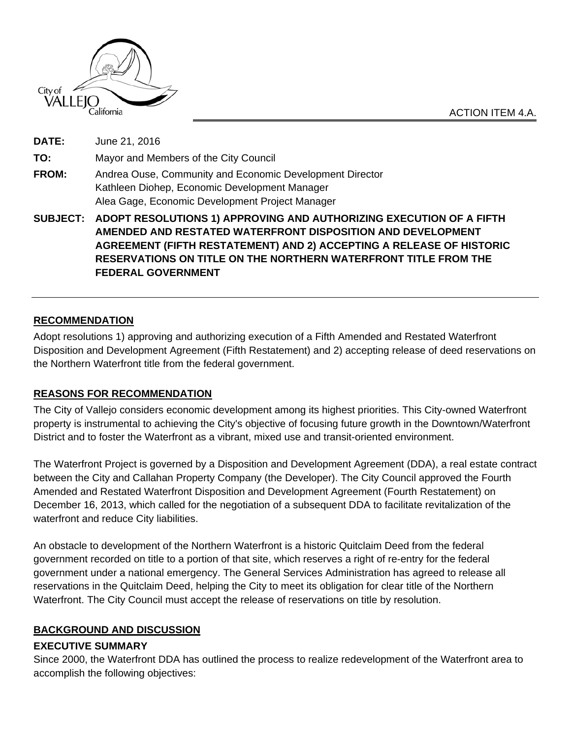



**DATE:** June 21, 2016 **TO:** Mayor and Members of the City Council **FROM:** Andrea Ouse, Community and Economic Development Director Kathleen Diohep, Economic Development Manager Alea Gage, Economic Development Project Manager **SUBJECT: ADOPT RESOLUTIONS 1) APPROVING AND AUTHORIZING EXECUTION OF A FIFTH AMENDED AND RESTATED WATERFRONT DISPOSITION AND DEVELOPMENT** 

**AGREEMENT (FIFTH RESTATEMENT) AND 2) ACCEPTING A RELEASE OF HISTORIC RESERVATIONS ON TITLE ON THE NORTHERN WATERFRONT TITLE FROM THE FEDERAL GOVERNMENT**

#### **RECOMMENDATION**

Adopt resolutions 1) approving and authorizing execution of a Fifth Amended and Restated Waterfront Disposition and Development Agreement (Fifth Restatement) and 2) accepting release of deed reservations on the Northern Waterfront title from the federal government.

#### **REASONS FOR RECOMMENDATION**

The City of Vallejo considers economic development among its highest priorities. This City-owned Waterfront property is instrumental to achieving the City's objective of focusing future growth in the Downtown/Waterfront District and to foster the Waterfront as a vibrant, mixed use and transit-oriented environment.

The Waterfront Project is governed by a Disposition and Development Agreement (DDA), a real estate contract between the City and Callahan Property Company (the Developer). The City Council approved the Fourth Amended and Restated Waterfront Disposition and Development Agreement (Fourth Restatement) on December 16, 2013, which called for the negotiation of a subsequent DDA to facilitate revitalization of the waterfront and reduce City liabilities.

An obstacle to development of the Northern Waterfront is a historic Quitclaim Deed from the federal government recorded on title to a portion of that site, which reserves a right of re-entry for the federal government under a national emergency. The General Services Administration has agreed to release all reservations in the Quitclaim Deed, helping the City to meet its obligation for clear title of the Northern Waterfront. The City Council must accept the release of reservations on title by resolution.

#### **BACKGROUND AND DISCUSSION**

#### **EXECUTIVE SUMMARY**

Since 2000, the Waterfront DDA has outlined the process to realize redevelopment of the Waterfront area to accomplish the following objectives: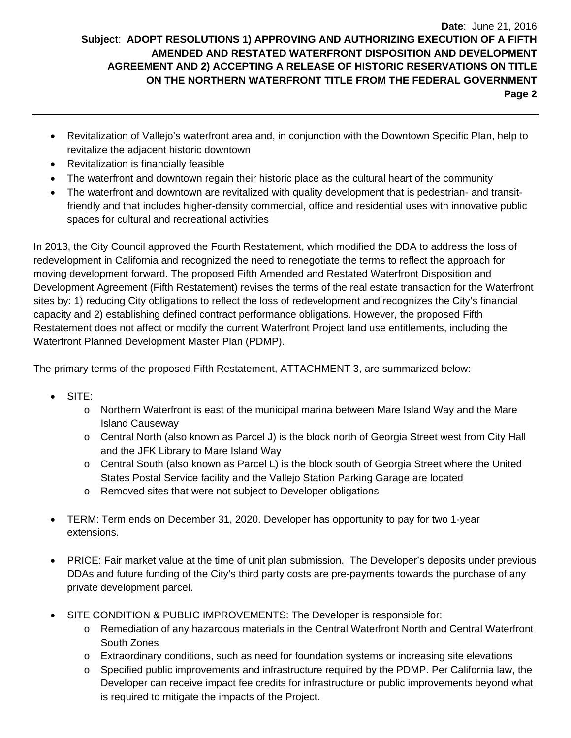- Revitalization of Vallejo's waterfront area and, in conjunction with the Downtown Specific Plan, help to revitalize the adjacent historic downtown
- Revitalization is financially feasible
- The waterfront and downtown regain their historic place as the cultural heart of the community
- The waterfront and downtown are revitalized with quality development that is pedestrian- and transitfriendly and that includes higher-density commercial, office and residential uses with innovative public spaces for cultural and recreational activities

In 2013, the City Council approved the Fourth Restatement, which modified the DDA to address the loss of redevelopment in California and recognized the need to renegotiate the terms to reflect the approach for moving development forward. The proposed Fifth Amended and Restated Waterfront Disposition and Development Agreement (Fifth Restatement) revises the terms of the real estate transaction for the Waterfront sites by: 1) reducing City obligations to reflect the loss of redevelopment and recognizes the City's financial capacity and 2) establishing defined contract performance obligations. However, the proposed Fifth Restatement does not affect or modify the current Waterfront Project land use entitlements, including the Waterfront Planned Development Master Plan (PDMP).

The primary terms of the proposed Fifth Restatement, ATTACHMENT 3, are summarized below:

- SITE:
	- o Northern Waterfront is east of the municipal marina between Mare Island Way and the Mare Island Causeway
	- o Central North (also known as Parcel J) is the block north of Georgia Street west from City Hall and the JFK Library to Mare Island Way
	- o Central South (also known as Parcel L) is the block south of Georgia Street where the United States Postal Service facility and the Vallejo Station Parking Garage are located
	- o Removed sites that were not subject to Developer obligations
- TERM: Term ends on December 31, 2020. Developer has opportunity to pay for two 1-year extensions.
- PRICE: Fair market value at the time of unit plan submission. The Developer's deposits under previous DDAs and future funding of the City's third party costs are pre-payments towards the purchase of any private development parcel.
- SITE CONDITION & PUBLIC IMPROVEMENTS: The Developer is responsible for:
	- o Remediation of any hazardous materials in the Central Waterfront North and Central Waterfront South Zones
	- o Extraordinary conditions, such as need for foundation systems or increasing site elevations
	- o Specified public improvements and infrastructure required by the PDMP. Per California law, the Developer can receive impact fee credits for infrastructure or public improvements beyond what is required to mitigate the impacts of the Project.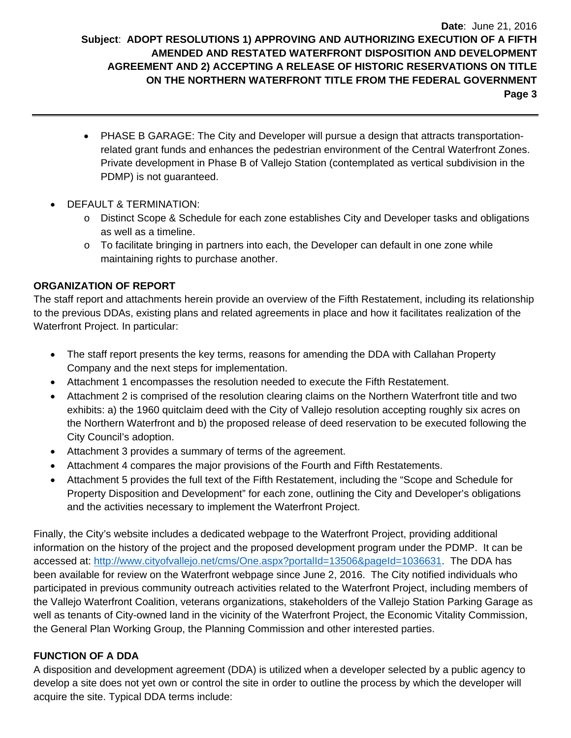- PHASE B GARAGE: The City and Developer will pursue a design that attracts transportationrelated grant funds and enhances the pedestrian environment of the Central Waterfront Zones. Private development in Phase B of Vallejo Station (contemplated as vertical subdivision in the PDMP) is not guaranteed.
- DEFAULT & TERMINATION:
	- o Distinct Scope & Schedule for each zone establishes City and Developer tasks and obligations as well as a timeline.
	- o To facilitate bringing in partners into each, the Developer can default in one zone while maintaining rights to purchase another.

### **ORGANIZATION OF REPORT**

The staff report and attachments herein provide an overview of the Fifth Restatement, including its relationship to the previous DDAs, existing plans and related agreements in place and how it facilitates realization of the Waterfront Project. In particular:

- The staff report presents the key terms, reasons for amending the DDA with Callahan Property Company and the next steps for implementation.
- Attachment 1 encompasses the resolution needed to execute the Fifth Restatement.
- Attachment 2 is comprised of the resolution clearing claims on the Northern Waterfront title and two exhibits: a) the 1960 quitclaim deed with the City of Vallejo resolution accepting roughly six acres on the Northern Waterfront and b) the proposed release of deed reservation to be executed following the City Council's adoption.
- Attachment 3 provides a summary of terms of the agreement.
- Attachment 4 compares the major provisions of the Fourth and Fifth Restatements.
- Attachment 5 provides the full text of the Fifth Restatement, including the "Scope and Schedule for Property Disposition and Development" for each zone, outlining the City and Developer's obligations and the activities necessary to implement the Waterfront Project.

Finally, the City's website includes a dedicated webpage to the Waterfront Project, providing additional information on the history of the project and the proposed development program under the PDMP. It can be accessed at: http://www.cityofvallejo.net/cms/One.aspx?portalId=13506&pageId=1036631. The DDA has been available for review on the Waterfront webpage since June 2, 2016. The City notified individuals who participated in previous community outreach activities related to the Waterfront Project, including members of the Vallejo Waterfront Coalition, veterans organizations, stakeholders of the Vallejo Station Parking Garage as well as tenants of City-owned land in the vicinity of the Waterfront Project, the Economic Vitality Commission, the General Plan Working Group, the Planning Commission and other interested parties.

### **FUNCTION OF A DDA**

A disposition and development agreement (DDA) is utilized when a developer selected by a public agency to develop a site does not yet own or control the site in order to outline the process by which the developer will acquire the site. Typical DDA terms include: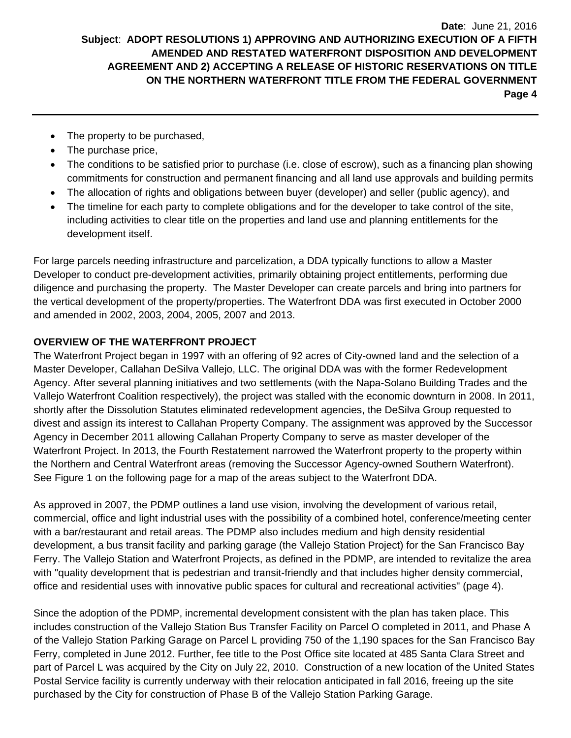- The property to be purchased,
- The purchase price,
- The conditions to be satisfied prior to purchase (i.e. close of escrow), such as a financing plan showing commitments for construction and permanent financing and all land use approvals and building permits
- The allocation of rights and obligations between buyer (developer) and seller (public agency), and
- The timeline for each party to complete obligations and for the developer to take control of the site, including activities to clear title on the properties and land use and planning entitlements for the development itself.

For large parcels needing infrastructure and parcelization, a DDA typically functions to allow a Master Developer to conduct pre-development activities, primarily obtaining project entitlements, performing due diligence and purchasing the property. The Master Developer can create parcels and bring into partners for the vertical development of the property/properties. The Waterfront DDA was first executed in October 2000 and amended in 2002, 2003, 2004, 2005, 2007 and 2013.

### **OVERVIEW OF THE WATERFRONT PROJECT**

The Waterfront Project began in 1997 with an offering of 92 acres of City-owned land and the selection of a Master Developer, Callahan DeSilva Vallejo, LLC. The original DDA was with the former Redevelopment Agency. After several planning initiatives and two settlements (with the Napa-Solano Building Trades and the Vallejo Waterfront Coalition respectively), the project was stalled with the economic downturn in 2008. In 2011, shortly after the Dissolution Statutes eliminated redevelopment agencies, the DeSilva Group requested to divest and assign its interest to Callahan Property Company. The assignment was approved by the Successor Agency in December 2011 allowing Callahan Property Company to serve as master developer of the Waterfront Project. In 2013, the Fourth Restatement narrowed the Waterfront property to the property within the Northern and Central Waterfront areas (removing the Successor Agency-owned Southern Waterfront). See Figure 1 on the following page for a map of the areas subject to the Waterfront DDA.

As approved in 2007, the PDMP outlines a land use vision, involving the development of various retail, commercial, office and light industrial uses with the possibility of a combined hotel, conference/meeting center with a bar/restaurant and retail areas. The PDMP also includes medium and high density residential development, a bus transit facility and parking garage (the Vallejo Station Project) for the San Francisco Bay Ferry. The Vallejo Station and Waterfront Projects, as defined in the PDMP, are intended to revitalize the area with "quality development that is pedestrian and transit-friendly and that includes higher density commercial, office and residential uses with innovative public spaces for cultural and recreational activities" (page 4).

Since the adoption of the PDMP, incremental development consistent with the plan has taken place. This includes construction of the Vallejo Station Bus Transfer Facility on Parcel O completed in 2011, and Phase A of the Vallejo Station Parking Garage on Parcel L providing 750 of the 1,190 spaces for the San Francisco Bay Ferry, completed in June 2012. Further, fee title to the Post Office site located at 485 Santa Clara Street and part of Parcel L was acquired by the City on July 22, 2010. Construction of a new location of the United States Postal Service facility is currently underway with their relocation anticipated in fall 2016, freeing up the site purchased by the City for construction of Phase B of the Vallejo Station Parking Garage.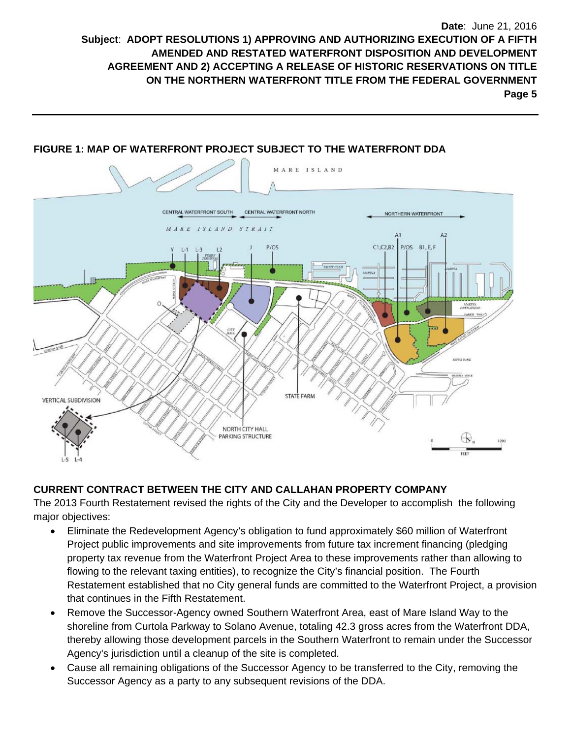

# **FIGURE 1: MAP OF WATERFRONT PROJECT SUBJECT TO THE WATERFRONT DDA**

# **CURRENT CONTRACT BETWEEN THE CITY AND CALLAHAN PROPERTY COMPANY**

The 2013 Fourth Restatement revised the rights of the City and the Developer to accomplish the following major objectives:

- Eliminate the Redevelopment Agency's obligation to fund approximately \$60 million of Waterfront Project public improvements and site improvements from future tax increment financing (pledging property tax revenue from the Waterfront Project Area to these improvements rather than allowing to flowing to the relevant taxing entities), to recognize the City's financial position. The Fourth Restatement established that no City general funds are committed to the Waterfront Project, a provision that continues in the Fifth Restatement.
- Remove the Successor-Agency owned Southern Waterfront Area, east of Mare Island Way to the shoreline from Curtola Parkway to Solano Avenue, totaling 42.3 gross acres from the Waterfront DDA, thereby allowing those development parcels in the Southern Waterfront to remain under the Successor Agency's jurisdiction until a cleanup of the site is completed.
- Cause all remaining obligations of the Successor Agency to be transferred to the City, removing the Successor Agency as a party to any subsequent revisions of the DDA.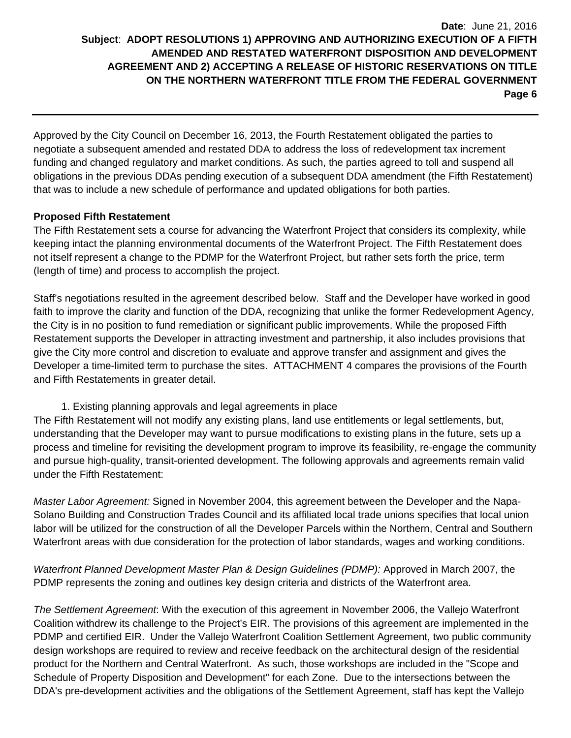Approved by the City Council on December 16, 2013, the Fourth Restatement obligated the parties to negotiate a subsequent amended and restated DDA to address the loss of redevelopment tax increment funding and changed regulatory and market conditions. As such, the parties agreed to toll and suspend all obligations in the previous DDAs pending execution of a subsequent DDA amendment (the Fifth Restatement) that was to include a new schedule of performance and updated obligations for both parties.

### **Proposed Fifth Restatement**

The Fifth Restatement sets a course for advancing the Waterfront Project that considers its complexity, while keeping intact the planning environmental documents of the Waterfront Project. The Fifth Restatement does not itself represent a change to the PDMP for the Waterfront Project, but rather sets forth the price, term (length of time) and process to accomplish the project.

Staff's negotiations resulted in the agreement described below. Staff and the Developer have worked in good faith to improve the clarity and function of the DDA, recognizing that unlike the former Redevelopment Agency, the City is in no position to fund remediation or significant public improvements. While the proposed Fifth Restatement supports the Developer in attracting investment and partnership, it also includes provisions that give the City more control and discretion to evaluate and approve transfer and assignment and gives the Developer a time-limited term to purchase the sites. ATTACHMENT 4 compares the provisions of the Fourth and Fifth Restatements in greater detail.

1. Existing planning approvals and legal agreements in place

The Fifth Restatement will not modify any existing plans, land use entitlements or legal settlements, but, understanding that the Developer may want to pursue modifications to existing plans in the future, sets up a process and timeline for revisiting the development program to improve its feasibility, re-engage the community and pursue high-quality, transit-oriented development. The following approvals and agreements remain valid under the Fifth Restatement:

*Master Labor Agreement:* Signed in November 2004, this agreement between the Developer and the Napa-Solano Building and Construction Trades Council and its affiliated local trade unions specifies that local union labor will be utilized for the construction of all the Developer Parcels within the Northern, Central and Southern Waterfront areas with due consideration for the protection of labor standards, wages and working conditions.

*Waterfront Planned Development Master Plan & Design Guidelines (PDMP):* Approved in March 2007, the PDMP represents the zoning and outlines key design criteria and districts of the Waterfront area.

*The Settlement Agreement*: With the execution of this agreement in November 2006, the Vallejo Waterfront Coalition withdrew its challenge to the Project's EIR. The provisions of this agreement are implemented in the PDMP and certified EIR. Under the Vallejo Waterfront Coalition Settlement Agreement, two public community design workshops are required to review and receive feedback on the architectural design of the residential product for the Northern and Central Waterfront. As such, those workshops are included in the "Scope and Schedule of Property Disposition and Development" for each Zone. Due to the intersections between the DDA's pre-development activities and the obligations of the Settlement Agreement, staff has kept the Vallejo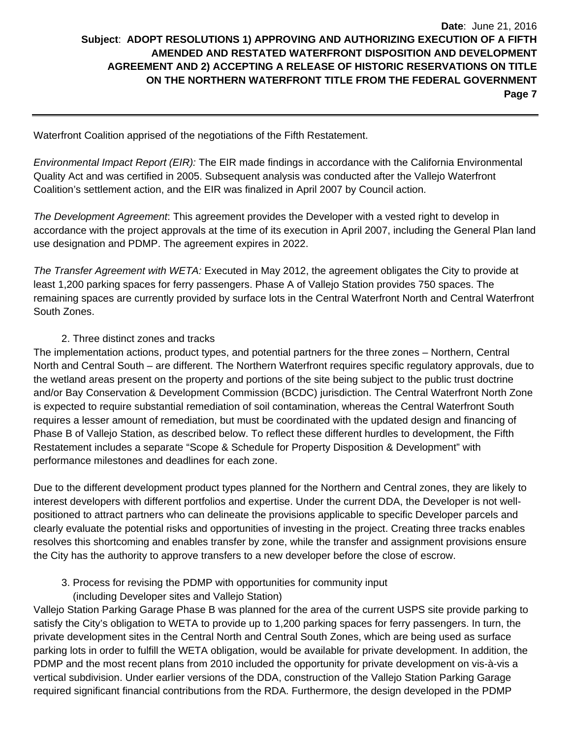Waterfront Coalition apprised of the negotiations of the Fifth Restatement.

*Environmental Impact Report (EIR):* The EIR made findings in accordance with the California Environmental Quality Act and was certified in 2005. Subsequent analysis was conducted after the Vallejo Waterfront Coalition's settlement action, and the EIR was finalized in April 2007 by Council action.

*The Development Agreement*: This agreement provides the Developer with a vested right to develop in accordance with the project approvals at the time of its execution in April 2007, including the General Plan land use designation and PDMP. The agreement expires in 2022.

*The Transfer Agreement with WETA:* Executed in May 2012, the agreement obligates the City to provide at least 1,200 parking spaces for ferry passengers. Phase A of Vallejo Station provides 750 spaces. The remaining spaces are currently provided by surface lots in the Central Waterfront North and Central Waterfront South Zones.

#### 2. Three distinct zones and tracks

The implementation actions, product types, and potential partners for the three zones – Northern, Central North and Central South – are different. The Northern Waterfront requires specific regulatory approvals, due to the wetland areas present on the property and portions of the site being subject to the public trust doctrine and/or Bay Conservation & Development Commission (BCDC) jurisdiction. The Central Waterfront North Zone is expected to require substantial remediation of soil contamination, whereas the Central Waterfront South requires a lesser amount of remediation, but must be coordinated with the updated design and financing of Phase B of Vallejo Station, as described below. To reflect these different hurdles to development, the Fifth Restatement includes a separate "Scope & Schedule for Property Disposition & Development" with performance milestones and deadlines for each zone.

Due to the different development product types planned for the Northern and Central zones, they are likely to interest developers with different portfolios and expertise. Under the current DDA, the Developer is not wellpositioned to attract partners who can delineate the provisions applicable to specific Developer parcels and clearly evaluate the potential risks and opportunities of investing in the project. Creating three tracks enables resolves this shortcoming and enables transfer by zone, while the transfer and assignment provisions ensure the City has the authority to approve transfers to a new developer before the close of escrow.

3. Process for revising the PDMP with opportunities for community input

(including Developer sites and Vallejo Station)

Vallejo Station Parking Garage Phase B was planned for the area of the current USPS site provide parking to satisfy the City's obligation to WETA to provide up to 1,200 parking spaces for ferry passengers. In turn, the private development sites in the Central North and Central South Zones, which are being used as surface parking lots in order to fulfill the WETA obligation, would be available for private development. In addition, the PDMP and the most recent plans from 2010 included the opportunity for private development on vis-à-vis a vertical subdivision. Under earlier versions of the DDA, construction of the Vallejo Station Parking Garage required significant financial contributions from the RDA. Furthermore, the design developed in the PDMP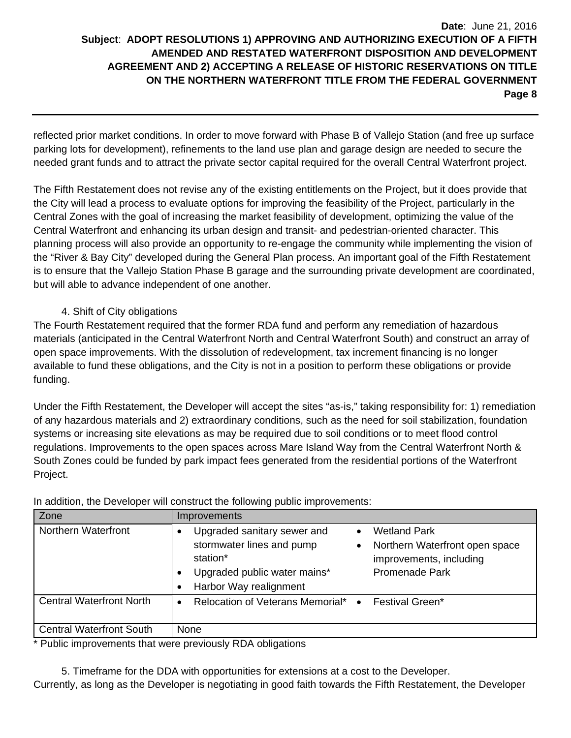reflected prior market conditions. In order to move forward with Phase B of Vallejo Station (and free up surface parking lots for development), refinements to the land use plan and garage design are needed to secure the needed grant funds and to attract the private sector capital required for the overall Central Waterfront project.

The Fifth Restatement does not revise any of the existing entitlements on the Project, but it does provide that the City will lead a process to evaluate options for improving the feasibility of the Project, particularly in the Central Zones with the goal of increasing the market feasibility of development, optimizing the value of the Central Waterfront and enhancing its urban design and transit- and pedestrian-oriented character. This planning process will also provide an opportunity to re-engage the community while implementing the vision of the "River & Bay City" developed during the General Plan process. An important goal of the Fifth Restatement is to ensure that the Vallejo Station Phase B garage and the surrounding private development are coordinated, but will able to advance independent of one another.

### 4. Shift of City obligations

The Fourth Restatement required that the former RDA fund and perform any remediation of hazardous materials (anticipated in the Central Waterfront North and Central Waterfront South) and construct an array of open space improvements. With the dissolution of redevelopment, tax increment financing is no longer available to fund these obligations, and the City is not in a position to perform these obligations or provide funding.

Under the Fifth Restatement, the Developer will accept the sites "as-is," taking responsibility for: 1) remediation of any hazardous materials and 2) extraordinary conditions, such as the need for soil stabilization, foundation systems or increasing site elevations as may be required due to soil conditions or to meet flood control regulations. Improvements to the open spaces across Mare Island Way from the Central Waterfront North & South Zones could be funded by park impact fees generated from the residential portions of the Waterfront Project.

| Zone                            | <i>Improvements</i>                                                                                                                                                                                                                                            |
|---------------------------------|----------------------------------------------------------------------------------------------------------------------------------------------------------------------------------------------------------------------------------------------------------------|
| Northern Waterfront             | Upgraded sanitary sewer and<br><b>Wetland Park</b><br>$\bullet$<br>stormwater lines and pump<br>Northern Waterfront open space<br>$\bullet$<br>station*<br>improvements, including<br>Upgraded public water mains*<br>Promenade Park<br>Harbor Way realignment |
| <b>Central Waterfront North</b> | Relocation of Veterans Memorial*<br>Festival Green*<br>$\bullet$<br>$\bullet$                                                                                                                                                                                  |
| <b>Central Waterfront South</b> | None                                                                                                                                                                                                                                                           |

In addition, the Developer will construct the following public improvements:

\* Public improvements that were previously RDA obligations

5. Timeframe for the DDA with opportunities for extensions at a cost to the Developer. Currently, as long as the Developer is negotiating in good faith towards the Fifth Restatement, the Developer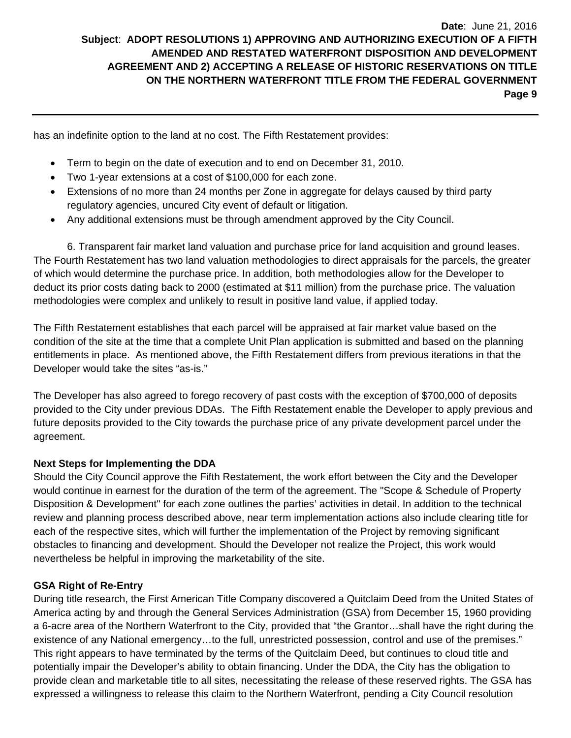has an indefinite option to the land at no cost. The Fifth Restatement provides:

- Term to begin on the date of execution and to end on December 31, 2010.
- Two 1-year extensions at a cost of \$100,000 for each zone.
- Extensions of no more than 24 months per Zone in aggregate for delays caused by third party regulatory agencies, uncured City event of default or litigation.
- Any additional extensions must be through amendment approved by the City Council.

6. Transparent fair market land valuation and purchase price for land acquisition and ground leases. The Fourth Restatement has two land valuation methodologies to direct appraisals for the parcels, the greater of which would determine the purchase price. In addition, both methodologies allow for the Developer to deduct its prior costs dating back to 2000 (estimated at \$11 million) from the purchase price. The valuation methodologies were complex and unlikely to result in positive land value, if applied today.

The Fifth Restatement establishes that each parcel will be appraised at fair market value based on the condition of the site at the time that a complete Unit Plan application is submitted and based on the planning entitlements in place. As mentioned above, the Fifth Restatement differs from previous iterations in that the Developer would take the sites "as-is."

The Developer has also agreed to forego recovery of past costs with the exception of \$700,000 of deposits provided to the City under previous DDAs. The Fifth Restatement enable the Developer to apply previous and future deposits provided to the City towards the purchase price of any private development parcel under the agreement.

### **Next Steps for Implementing the DDA**

Should the City Council approve the Fifth Restatement, the work effort between the City and the Developer would continue in earnest for the duration of the term of the agreement. The "Scope & Schedule of Property Disposition & Development" for each zone outlines the parties' activities in detail. In addition to the technical review and planning process described above, near term implementation actions also include clearing title for each of the respective sites, which will further the implementation of the Project by removing significant obstacles to financing and development. Should the Developer not realize the Project, this work would nevertheless be helpful in improving the marketability of the site.

### **GSA Right of Re-Entry**

During title research, the First American Title Company discovered a Quitclaim Deed from the United States of America acting by and through the General Services Administration (GSA) from December 15, 1960 providing a 6-acre area of the Northern Waterfront to the City, provided that "the Grantor…shall have the right during the existence of any National emergency…to the full, unrestricted possession, control and use of the premises." This right appears to have terminated by the terms of the Quitclaim Deed, but continues to cloud title and potentially impair the Developer's ability to obtain financing. Under the DDA, the City has the obligation to provide clean and marketable title to all sites, necessitating the release of these reserved rights. The GSA has expressed a willingness to release this claim to the Northern Waterfront, pending a City Council resolution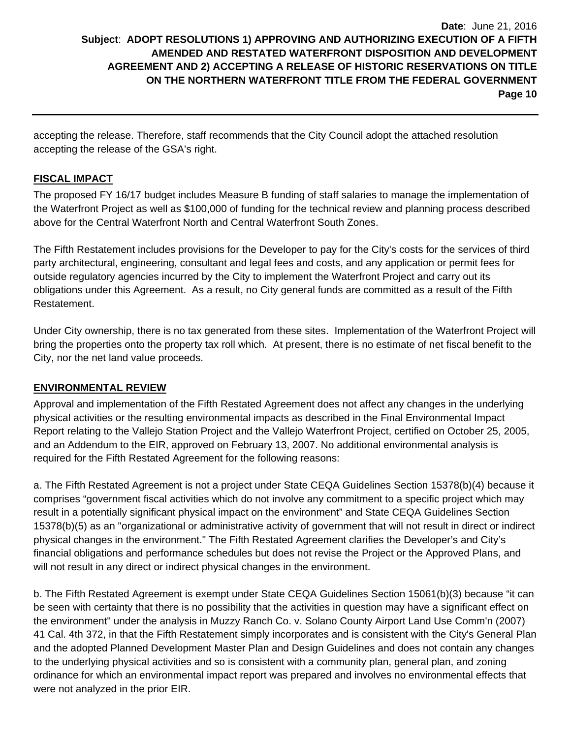accepting the release. Therefore, staff recommends that the City Council adopt the attached resolution accepting the release of the GSA's right.

### **FISCAL IMPACT**

The proposed FY 16/17 budget includes Measure B funding of staff salaries to manage the implementation of the Waterfront Project as well as \$100,000 of funding for the technical review and planning process described above for the Central Waterfront North and Central Waterfront South Zones.

The Fifth Restatement includes provisions for the Developer to pay for the City's costs for the services of third party architectural, engineering, consultant and legal fees and costs, and any application or permit fees for outside regulatory agencies incurred by the City to implement the Waterfront Project and carry out its obligations under this Agreement. As a result, no City general funds are committed as a result of the Fifth Restatement.

Under City ownership, there is no tax generated from these sites. Implementation of the Waterfront Project will bring the properties onto the property tax roll which. At present, there is no estimate of net fiscal benefit to the City, nor the net land value proceeds.

### **ENVIRONMENTAL REVIEW**

Approval and implementation of the Fifth Restated Agreement does not affect any changes in the underlying physical activities or the resulting environmental impacts as described in the Final Environmental Impact Report relating to the Vallejo Station Project and the Vallejo Waterfront Project, certified on October 25, 2005, and an Addendum to the EIR, approved on February 13, 2007. No additional environmental analysis is required for the Fifth Restated Agreement for the following reasons:

a. The Fifth Restated Agreement is not a project under State CEQA Guidelines Section 15378(b)(4) because it comprises "government fiscal activities which do not involve any commitment to a specific project which may result in a potentially significant physical impact on the environment" and State CEQA Guidelines Section 15378(b)(5) as an "organizational or administrative activity of government that will not result in direct or indirect physical changes in the environment." The Fifth Restated Agreement clarifies the Developer's and City's financial obligations and performance schedules but does not revise the Project or the Approved Plans, and will not result in any direct or indirect physical changes in the environment.

b. The Fifth Restated Agreement is exempt under State CEQA Guidelines Section 15061(b)(3) because "it can be seen with certainty that there is no possibility that the activities in question may have a significant effect on the environment" under the analysis in Muzzy Ranch Co. v. Solano County Airport Land Use Comm'n (2007) 41 Cal. 4th 372, in that the Fifth Restatement simply incorporates and is consistent with the City's General Plan and the adopted Planned Development Master Plan and Design Guidelines and does not contain any changes to the underlying physical activities and so is consistent with a community plan, general plan, and zoning ordinance for which an environmental impact report was prepared and involves no environmental effects that were not analyzed in the prior EIR.